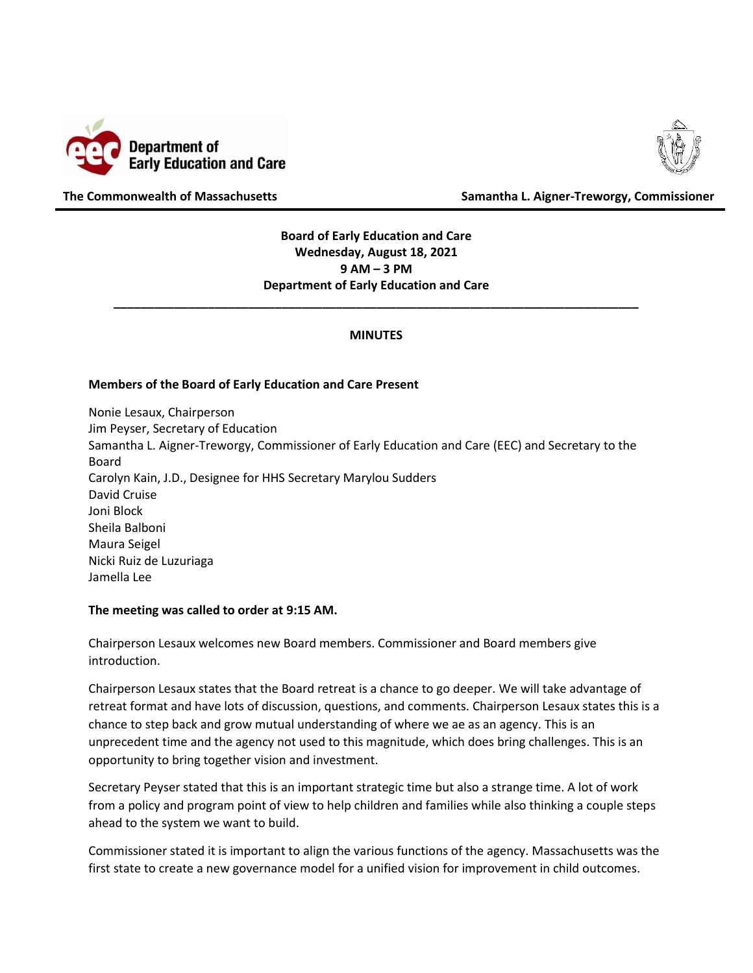



**The Commonwealth of Massachusetts Samantha L. Aigner-Treworgy, Commissioner**

**Board of Early Education and Care Wednesday, August 18, 2021 9 AM – 3 PM Department of Early Education and Care**

## **MINUTES**

**\_\_\_\_\_\_\_\_\_\_\_\_\_\_\_\_\_\_\_\_\_\_\_\_\_\_\_\_\_\_\_\_\_\_\_\_\_\_\_\_\_\_\_\_\_\_\_\_\_\_\_\_\_\_\_\_\_\_\_\_\_\_\_\_\_\_\_\_\_\_\_\_\_\_\_\_\_\_**

## **Members of the Board of Early Education and Care Present**

Nonie Lesaux, Chairperson Jim Peyser, Secretary of Education Samantha L. Aigner-Treworgy, Commissioner of Early Education and Care (EEC) and Secretary to the Board Carolyn Kain, J.D., Designee for HHS Secretary Marylou Sudders David Cruise Joni Block Sheila Balboni Maura Seigel Nicki Ruiz de Luzuriaga Jamella Lee

## **The meeting was called to order at 9:15 AM.**

Chairperson Lesaux welcomes new Board members. Commissioner and Board members give introduction.

Chairperson Lesaux states that the Board retreat is a chance to go deeper. We will take advantage of retreat format and have lots of discussion, questions, and comments. Chairperson Lesaux states this is a chance to step back and grow mutual understanding of where we ae as an agency. This is an unprecedent time and the agency not used to this magnitude, which does bring challenges. This is an opportunity to bring together vision and investment.

Secretary Peyser stated that this is an important strategic time but also a strange time. A lot of work from a policy and program point of view to help children and families while also thinking a couple steps ahead to the system we want to build.

Commissioner stated it is important to align the various functions of the agency. Massachusetts was the first state to create a new governance model for a unified vision for improvement in child outcomes.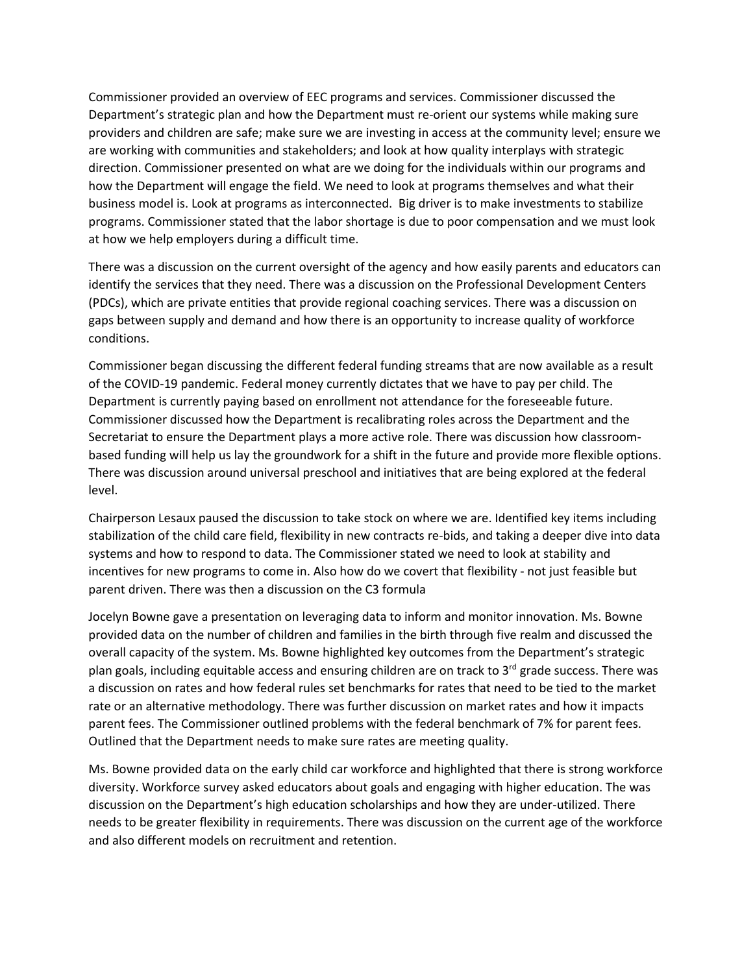Commissioner provided an overview of EEC programs and services. Commissioner discussed the Department's strategic plan and how the Department must re-orient our systems while making sure providers and children are safe; make sure we are investing in access at the community level; ensure we are working with communities and stakeholders; and look at how quality interplays with strategic direction. Commissioner presented on what are we doing for the individuals within our programs and how the Department will engage the field. We need to look at programs themselves and what their business model is. Look at programs as interconnected. Big driver is to make investments to stabilize programs. Commissioner stated that the labor shortage is due to poor compensation and we must look at how we help employers during a difficult time.

There was a discussion on the current oversight of the agency and how easily parents and educators can identify the services that they need. There was a discussion on the Professional Development Centers (PDCs), which are private entities that provide regional coaching services. There was a discussion on gaps between supply and demand and how there is an opportunity to increase quality of workforce conditions.

Commissioner began discussing the different federal funding streams that are now available as a result of the COVID-19 pandemic. Federal money currently dictates that we have to pay per child. The Department is currently paying based on enrollment not attendance for the foreseeable future. Commissioner discussed how the Department is recalibrating roles across the Department and the Secretariat to ensure the Department plays a more active role. There was discussion how classroombased funding will help us lay the groundwork for a shift in the future and provide more flexible options. There was discussion around universal preschool and initiatives that are being explored at the federal level.

Chairperson Lesaux paused the discussion to take stock on where we are. Identified key items including stabilization of the child care field, flexibility in new contracts re-bids, and taking a deeper dive into data systems and how to respond to data. The Commissioner stated we need to look at stability and incentives for new programs to come in. Also how do we covert that flexibility - not just feasible but parent driven. There was then a discussion on the C3 formula

Jocelyn Bowne gave a presentation on leveraging data to inform and monitor innovation. Ms. Bowne provided data on the number of children and families in the birth through five realm and discussed the overall capacity of the system. Ms. Bowne highlighted key outcomes from the Department's strategic plan goals, including equitable access and ensuring children are on track to  $3<sup>rd</sup>$  grade success. There was a discussion on rates and how federal rules set benchmarks for rates that need to be tied to the market rate or an alternative methodology. There was further discussion on market rates and how it impacts parent fees. The Commissioner outlined problems with the federal benchmark of 7% for parent fees. Outlined that the Department needs to make sure rates are meeting quality.

Ms. Bowne provided data on the early child car workforce and highlighted that there is strong workforce diversity. Workforce survey asked educators about goals and engaging with higher education. The was discussion on the Department's high education scholarships and how they are under-utilized. There needs to be greater flexibility in requirements. There was discussion on the current age of the workforce and also different models on recruitment and retention.